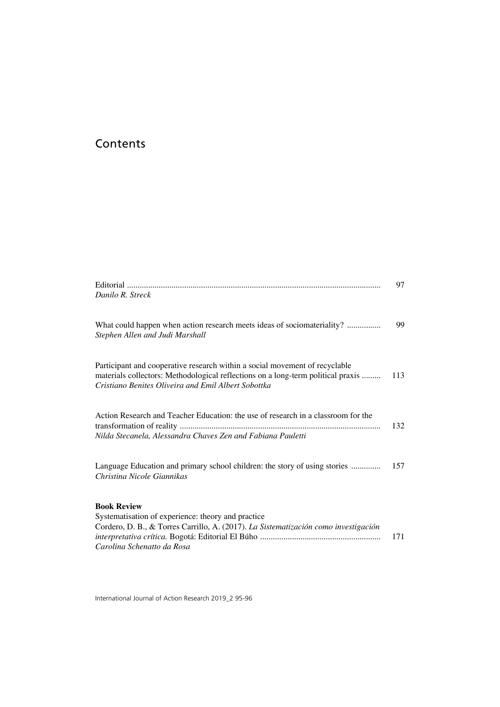# Contents

| Danilo R. Streck                                                                                                                                                                                                       | 97  |
|------------------------------------------------------------------------------------------------------------------------------------------------------------------------------------------------------------------------|-----|
| What could happen when action research meets ideas of sociomateriality?<br>Stephen Allen and Judi Marshall                                                                                                             | 99  |
| Participant and cooperative research within a social movement of recyclable<br>materials collectors: Methodological reflections on a long-term political praxis<br>Cristiano Benites Oliveira and Emil Albert Sobottka | 113 |
| Action Research and Teacher Education: the use of research in a classroom for the<br>Nilda Stecanela, Alessandra Chaves Zen and Fabiana Pauletti                                                                       | 132 |
| Language Education and primary school children: the story of using stories<br>Christina Nicole Giannikas                                                                                                               | 157 |
| <b>Book Review</b><br>Systematisation of experience: theory and practice<br>Cordero, D. B., & Torres Carrillo, A. (2017). La Sistematización como investigación<br>Carolina Schenatto da Rosa                          | 171 |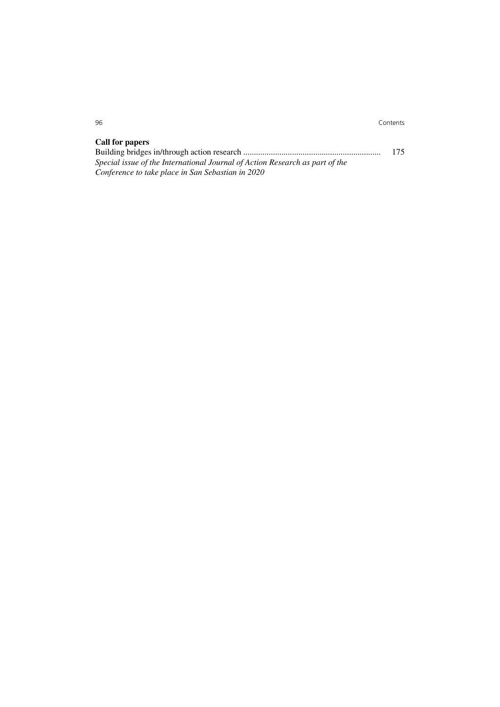## **Call for papers**

|                                                                              | 175 |
|------------------------------------------------------------------------------|-----|
| Special issue of the International Journal of Action Research as part of the |     |
| Conference to take place in San Sebastian in 2020                            |     |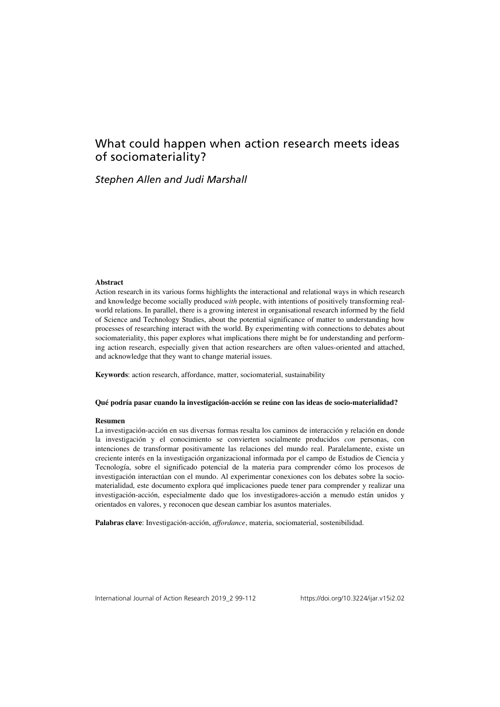# What could happen when action research meets ideas of sociomateriality?

## *Stephen Allen and Judi Marshall*

#### **Abstract**

Action research in its various forms highlights the interactional and relational ways in which research and knowledge become socially produced *with* people, with intentions of positively transforming realworld relations. In parallel, there is a growing interest in organisational research informed by the field of Science and Technology Studies, about the potential significance of matter to understanding how processes of researching interact with the world. By experimenting with connections to debates about sociomateriality, this paper explores what implications there might be for understanding and performing action research, especially given that action researchers are often values-oriented and attached, and acknowledge that they want to change material issues.

**Keywords**: action research, affordance, matter, sociomaterial, sustainability

#### **Qué podría pasar cuando la investigación-acción se reúne con las ideas de socio-materialidad?**

#### **Resumen**

La investigación-acción en sus diversas formas resalta los caminos de interacción y relación en donde la investigación y el conocimiento se convierten socialmente producidos *con* personas, con intenciones de transformar positivamente las relaciones del mundo real. Paralelamente, existe un creciente interés en la investigación organizacional informada por el campo de Estudios de Ciencia y Tecnología, sobre el significado potencial de la materia para comprender cómo los procesos de investigación interactúan con el mundo. Al experimentar conexiones con los debates sobre la sociomaterialidad, este documento explora qué implicaciones puede tener para comprender y realizar una investigación-acción, especialmente dado que los investigadores-acción a menudo están unidos y orientados en valores, y reconocen que desean cambiar los asuntos materiales.

**Palabras clave**: Investigación-acción, *affordance*, materia, sociomaterial, sostenibilidad.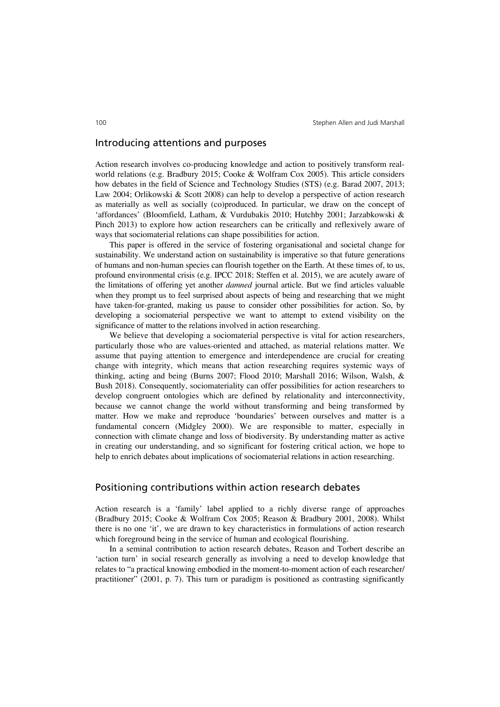### Introducing attentions and purposes

Action research involves co-producing knowledge and action to positively transform realworld relations (e.g. Bradbury 2015; Cooke & Wolfram Cox 2005). This article considers how debates in the field of Science and Technology Studies (STS) (e.g. Barad 2007, 2013; Law 2004; Orlikowski & Scott 2008) can help to develop a perspective of action research as materially as well as socially (co)produced. In particular, we draw on the concept of 'affordances' (Bloomfield, Latham, & Vurdubakis 2010; Hutchby 2001; Jarzabkowski & Pinch 2013) to explore how action researchers can be critically and reflexively aware of ways that sociomaterial relations can shape possibilities for action.

This paper is offered in the service of fostering organisational and societal change for sustainability. We understand action on sustainability is imperative so that future generations of humans and non-human species can flourish together on the Earth. At these times of, to us, profound environmental crisis (e.g. IPCC 2018; Steffen et al. 2015), we are acutely aware of the limitations of offering yet another *damned* journal article. But we find articles valuable when they prompt us to feel surprised about aspects of being and researching that we might have taken-for-granted, making us pause to consider other possibilities for action. So, by developing a sociomaterial perspective we want to attempt to extend visibility on the significance of matter to the relations involved in action researching.

We believe that developing a sociomaterial perspective is vital for action researchers, particularly those who are values-oriented and attached, as material relations matter. We assume that paying attention to emergence and interdependence are crucial for creating change with integrity, which means that action researching requires systemic ways of thinking, acting and being (Burns 2007; Flood 2010; Marshall 2016; Wilson, Walsh, & Bush 2018). Consequently, sociomateriality can offer possibilities for action researchers to develop congruent ontologies which are defined by relationality and interconnectivity, because we cannot change the world without transforming and being transformed by matter. How we make and reproduce 'boundaries' between ourselves and matter is a fundamental concern (Midgley 2000). We are responsible to matter, especially in connection with climate change and loss of biodiversity. By understanding matter as active in creating our understanding, and so significant for fostering critical action, we hope to help to enrich debates about implications of sociomaterial relations in action researching.

### Positioning contributions within action research debates

Action research is a 'family' label applied to a richly diverse range of approaches (Bradbury 2015; Cooke & Wolfram Cox 2005; Reason & Bradbury 2001, 2008). Whilst there is no one 'it', we are drawn to key characteristics in formulations of action research which foreground being in the service of human and ecological flourishing.

In a seminal contribution to action research debates, Reason and Torbert describe an 'action turn' in social research generally as involving a need to develop knowledge that relates to "a practical knowing embodied in the moment-to-moment action of each researcher/ practitioner" (2001, p. 7). This turn or paradigm is positioned as contrasting significantly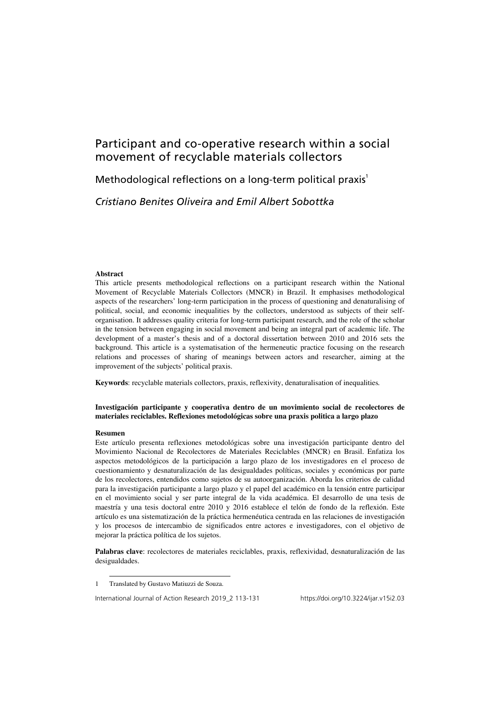# Participant and co-operative research within a social movement of recyclable materials collectors

Methodological reflections on a long-term political praxis<sup>1</sup>

## *Cristiano Benites Oliveira and Emil Albert Sobottka*

#### **Abstract**

This article presents methodological reflections on a participant research within the National Movement of Recyclable Materials Collectors (MNCR) in Brazil. It emphasises methodological aspects of the researchers' long-term participation in the process of questioning and denaturalising of political, social, and economic inequalities by the collectors, understood as subjects of their selforganisation. It addresses quality criteria for long-term participant research, and the role of the scholar in the tension between engaging in social movement and being an integral part of academic life. The development of a master's thesis and of a doctoral dissertation between 2010 and 2016 sets the background. This article is a systematisation of the hermeneutic practice focusing on the research relations and processes of sharing of meanings between actors and researcher, aiming at the improvement of the subjects' political praxis.

**Keywords**: recyclable materials collectors, praxis, reflexivity, denaturalisation of inequalities*.*

#### **Investigación participante y cooperativa dentro de un movimiento social de recolectores de materiales reciclables. Reflexiones metodológicas sobre una praxis politica a largo plazo**

#### **Resumen**

l

Este artículo presenta reflexiones metodológicas sobre una investigación participante dentro del Movimiento Nacional de Recolectores de Materiales Reciclables (MNCR) en Brasil. Enfatiza los aspectos metodológicos de la participación a largo plazo de los investigadores en el proceso de cuestionamiento y desnaturalización de las desigualdades políticas, sociales y económicas por parte de los recolectores, entendidos como sujetos de su autoorganización. Aborda los criterios de calidad para la investigación participante a largo plazo y el papel del académico en la tensión entre participar en el movimiento social y ser parte integral de la vida académica. El desarrollo de una tesis de maestría y una tesis doctoral entre 2010 y 2016 establece el telón de fondo de la reflexión. Este artículo es una sistematización de la práctica hermenéutica centrada en las relaciones de investigación y los procesos de intercambio de significados entre actores e investigadores, con el objetivo de mejorar la práctica política de los sujetos.

**Palabras clave**: recolectores de materiales reciclables, praxis, reflexividad, desnaturalización de las desigualdades.

<sup>1</sup> Translated by Gustavo Matiuzzi de Souza.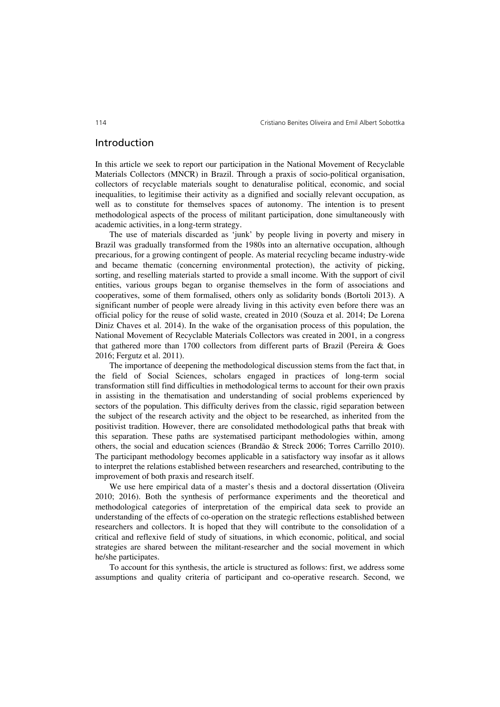### Introduction

In this article we seek to report our participation in the National Movement of Recyclable Materials Collectors (MNCR) in Brazil. Through a praxis of socio-political organisation, collectors of recyclable materials sought to denaturalise political, economic, and social inequalities, to legitimise their activity as a dignified and socially relevant occupation, as well as to constitute for themselves spaces of autonomy. The intention is to present methodological aspects of the process of militant participation, done simultaneously with academic activities, in a long-term strategy.

The use of materials discarded as 'junk' by people living in poverty and misery in Brazil was gradually transformed from the 1980s into an alternative occupation, although precarious, for a growing contingent of people. As material recycling became industry-wide and became thematic (concerning environmental protection), the activity of picking, sorting, and reselling materials started to provide a small income. With the support of civil entities, various groups began to organise themselves in the form of associations and cooperatives, some of them formalised, others only as solidarity bonds (Bortoli 2013). A significant number of people were already living in this activity even before there was an official policy for the reuse of solid waste, created in 2010 (Souza et al. 2014; De Lorena Diniz Chaves et al. 2014). In the wake of the organisation process of this population, the National Movement of Recyclable Materials Collectors was created in 2001, in a congress that gathered more than 1700 collectors from different parts of Brazil (Pereira & Goes 2016; Fergutz et al. 2011).

The importance of deepening the methodological discussion stems from the fact that, in the field of Social Sciences, scholars engaged in practices of long-term social transformation still find difficulties in methodological terms to account for their own praxis in assisting in the thematisation and understanding of social problems experienced by sectors of the population. This difficulty derives from the classic, rigid separation between the subject of the research activity and the object to be researched, as inherited from the positivist tradition. However, there are consolidated methodological paths that break with this separation. These paths are systematised participant methodologies within, among others, the social and education sciences (Brandão & Streck 2006; Torres Carrillo 2010). The participant methodology becomes applicable in a satisfactory way insofar as it allows to interpret the relations established between researchers and researched, contributing to the improvement of both praxis and research itself.

We use here empirical data of a master's thesis and a doctoral dissertation (Oliveira 2010; 2016). Both the synthesis of performance experiments and the theoretical and methodological categories of interpretation of the empirical data seek to provide an understanding of the effects of co-operation on the strategic reflections established between researchers and collectors. It is hoped that they will contribute to the consolidation of a critical and reflexive field of study of situations, in which economic, political, and social strategies are shared between the militant-researcher and the social movement in which he/she participates.

To account for this synthesis, the article is structured as follows: first, we address some assumptions and quality criteria of participant and co-operative research. Second, we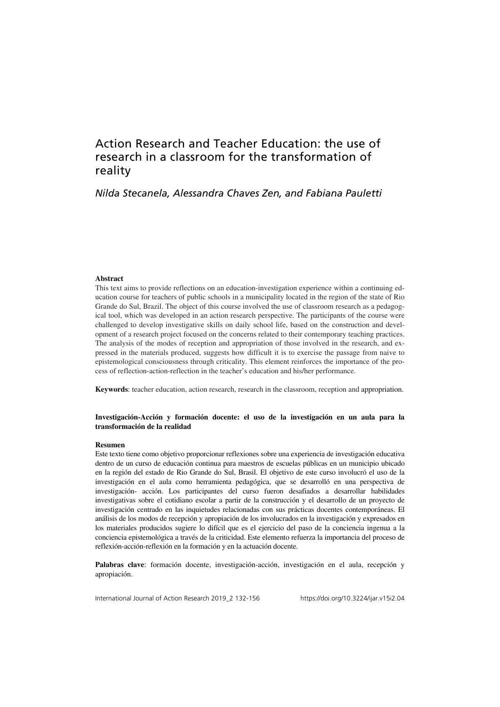## Action Research and Teacher Education: the use of research in a classroom for the transformation of reality

## *Nilda Stecanela, Alessandra Chaves Zen, and Fabiana Pauletti*

#### **Abstract**

This text aims to provide reflections on an education-investigation experience within a continuing education course for teachers of public schools in a municipality located in the region of the state of Rio Grande do Sul, Brazil. The object of this course involved the use of classroom research as a pedagogical tool, which was developed in an action research perspective. The participants of the course were challenged to develop investigative skills on daily school life, based on the construction and development of a research project focused on the concerns related to their contemporary teaching practices. The analysis of the modes of reception and appropriation of those involved in the research, and expressed in the materials produced, suggests how difficult it is to exercise the passage from naive to epistemological consciousness through criticality. This element reinforces the importance of the process of reflection-action-reflection in the teacher's education and his/her performance.

**Keywords**: teacher education, action research, research in the classroom, reception and appropriation.

#### **Investigación-Acción y formación docente: el uso de la investigación en un aula para la transformación de la realidad**

#### **Resumen**

Este texto tiene como objetivo proporcionar reflexiones sobre una experiencia de investigación educativa dentro de un curso de educación continua para maestros de escuelas públicas en un municipio ubicado en la región del estado de Rio Grande do Sul, Brasil. El objetivo de este curso involucró el uso de la investigación en el aula como herramienta pedagógica, que se desarrolló en una perspectiva de investigación- acción. Los participantes del curso fueron desafiados a desarrollar habilidades investigativas sobre el cotidiano escolar a partir de la construcción y el desarrollo de un proyecto de investigación centrado en las inquietudes relacionadas con sus prácticas docentes contemporáneas. El análisis de los modos de recepción y apropiación de los involucrados en la investigación y expresados en los materiales producidos sugiere lo difícil que es el ejercicio del paso de la conciencia ingenua a la conciencia epistemológica a través de la criticidad. Este elemento refuerza la importancia del proceso de reflexión-acción-reflexión en la formación y en la actuación docente.

**Palabras clave**: formación docente, investigación-acción, investigación en el aula, recepción y apropiación.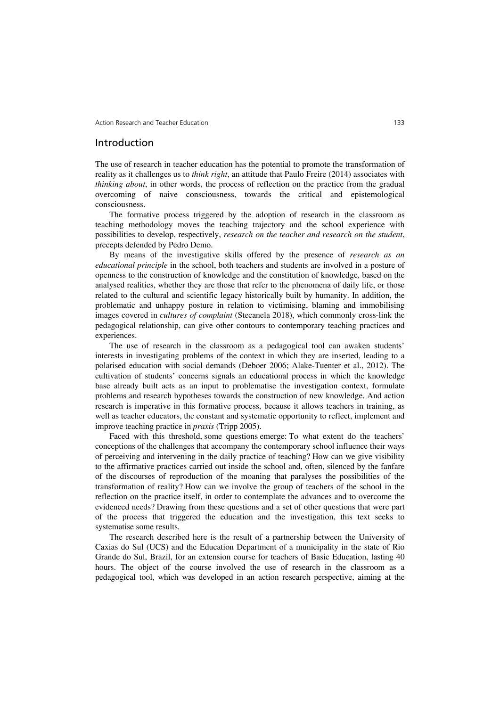### Introduction

The use of research in teacher education has the potential to promote the transformation of reality as it challenges us to *think right*, an attitude that Paulo Freire (2014) associates with *thinking about*, in other words, the process of reflection on the practice from the gradual overcoming of naive consciousness, towards the critical and epistemological consciousness.

The formative process triggered by the adoption of research in the classroom as teaching methodology moves the teaching trajectory and the school experience with possibilities to develop, respectively, *research on the teacher and research on the student*, precepts defended by Pedro Demo.

By means of the investigative skills offered by the presence of *research as an educational principle* in the school, both teachers and students are involved in a posture of openness to the construction of knowledge and the constitution of knowledge, based on the analysed realities, whether they are those that refer to the phenomena of daily life, or those related to the cultural and scientific legacy historically built by humanity. In addition, the problematic and unhappy posture in relation to victimising, blaming and immobilising images covered in *cultures of complaint* (Stecanela 2018), which commonly cross-link the pedagogical relationship, can give other contours to contemporary teaching practices and experiences.

The use of research in the classroom as a pedagogical tool can awaken students' interests in investigating problems of the context in which they are inserted, leading to a polarised education with social demands (Deboer 2006; Alake-Tuenter et al., 2012). The cultivation of students' concerns signals an educational process in which the knowledge base already built acts as an input to problematise the investigation context, formulate problems and research hypotheses towards the construction of new knowledge. And action research is imperative in this formative process, because it allows teachers in training, as well as teacher educators, the constant and systematic opportunity to reflect, implement and improve teaching practice in *praxis* (Tripp 2005).

Faced with this threshold, some questions emerge: To what extent do the teachers' conceptions of the challenges that accompany the contemporary school influence their ways of perceiving and intervening in the daily practice of teaching? How can we give visibility to the affirmative practices carried out inside the school and, often, silenced by the fanfare of the discourses of reproduction of the moaning that paralyses the possibilities of the transformation of reality? How can we involve the group of teachers of the school in the reflection on the practice itself, in order to contemplate the advances and to overcome the evidenced needs? Drawing from these questions and a set of other questions that were part of the process that triggered the education and the investigation, this text seeks to systematise some results.

The research described here is the result of a partnership between the University of Caxias do Sul (UCS) and the Education Department of a municipality in the state of Rio Grande do Sul, Brazil, for an extension course for teachers of Basic Education, lasting 40 hours. The object of the course involved the use of research in the classroom as a pedagogical tool, which was developed in an action research perspective, aiming at the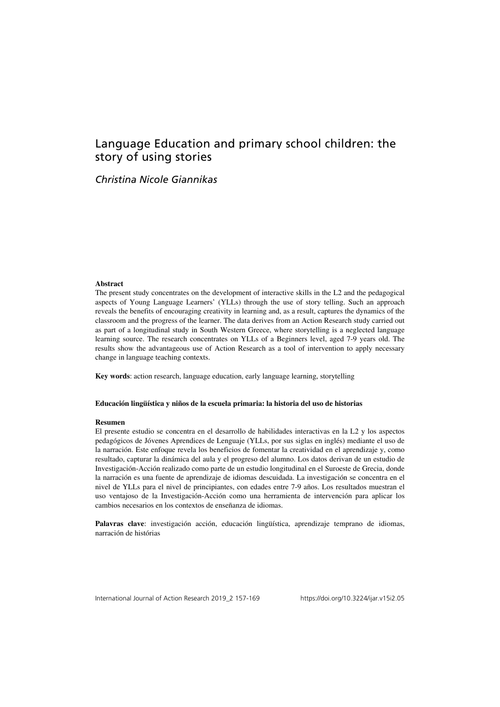# Language Education and primary school children: the story of using stories

## *Christina Nicole Giannikas*

#### **Abstract**

The present study concentrates on the development of interactive skills in the L2 and the pedagogical aspects of Young Language Learners' (YLLs) through the use of story telling. Such an approach reveals the benefits of encouraging creativity in learning and, as a result, captures the dynamics of the classroom and the progress of the learner. The data derives from an Action Research study carried out as part of a longitudinal study in South Western Greece, where storytelling is a neglected language learning source. The research concentrates on YLLs of a Beginners level, aged 7-9 years old. The results show the advantageous use of Action Research as a tool of intervention to apply necessary change in language teaching contexts.

**Key words**: action research, language education, early language learning, storytelling

#### **Educación lingüística y niños de la escuela primaria: la historia del uso de historias**

#### **Resumen**

El presente estudio se concentra en el desarrollo de habilidades interactivas en la L2 y los aspectos pedagógicos de Jóvenes Aprendices de Lenguaje (YLLs, por sus siglas en inglés) mediante el uso de la narración. Este enfoque revela los beneficios de fomentar la creatividad en el aprendizaje y, como resultado, capturar la dinámica del aula y el progreso del alumno. Los datos derivan de un estudio de Investigación-Acción realizado como parte de un estudio longitudinal en el Suroeste de Grecia, donde la narración es una fuente de aprendizaje de idiomas descuidada. La investigación se concentra en el nivel de YLLs para el nivel de principiantes, con edades entre 7-9 años. Los resultados muestran el uso ventajoso de la Investigación-Acción como una herramienta de intervención para aplicar los cambios necesarios en los contextos de enseñanza de idiomas.

**Palavras clave**: investigación acción, educación lingüística, aprendizaje temprano de idiomas, narración de histórias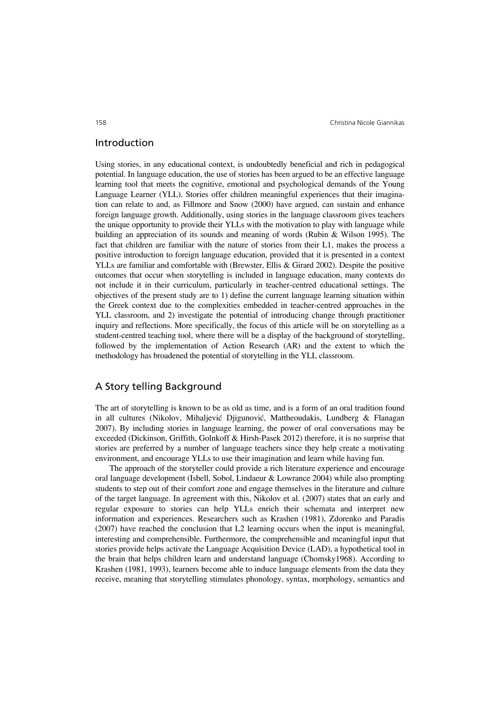### Introduction

Using stories, in any educational context, is undoubtedly beneficial and rich in pedagogical potential. In language education, the use of stories has been argued to be an effective language learning tool that meets the cognitive, emotional and psychological demands of the Young Language Learner (YLL). Stories offer children meaningful experiences that their imagination can relate to and, as Fillmore and Snow (2000) have argued, can sustain and enhance foreign language growth. Additionally, using stories in the language classroom gives teachers the unique opportunity to provide their YLLs with the motivation to play with language while building an appreciation of its sounds and meaning of words (Rubin & Wilson 1995). The fact that children are familiar with the nature of stories from their L1, makes the process a positive introduction to foreign language education, provided that it is presented in a context YLLs are familiar and comfortable with (Brewster, Ellis & Girard 2002). Despite the positive outcomes that occur when storytelling is included in language education, many contexts do not include it in their curriculum, particularly in teacher-centred educational settings. The objectives of the present study are to 1) define the current language learning situation within the Greek context due to the complexities embedded in teacher-centred approaches in the YLL classroom, and 2) investigate the potential of introducing change through practitioner inquiry and reflections. More specifically, the focus of this article will be on storytelling as a student-centred teaching tool, where there will be a display of the background of storytelling, followed by the implementation of Action Research (AR) and the extent to which the methodology has broadened the potential of storytelling in the YLL classroom.

### A Story telling Background

The art of storytelling is known to be as old as time, and is a form of an oral tradition found in all cultures (Nikolov, Mihaljević Djigunović, Mattheoudakis, Lundberg & Flanagan 2007). By including stories in language learning, the power of oral conversations may be exceeded (Dickinson, Griffith, Golnkoff & Hirsh-Pasek 2012) therefore, it is no surprise that stories are preferred by a number of language teachers since they help create a motivating environment, and encourage YLLs to use their imagination and learn while having fun.

The approach of the storyteller could provide a rich literature experience and encourage oral language development (Isbell, Sobol, Lindaeur & Lowrance 2004) while also prompting students to step out of their comfort zone and engage themselves in the literature and culture of the target language. In agreement with this, Nikolov et al. (2007) states that an early and regular exposure to stories can help YLLs enrich their schemata and interpret new information and experiences. Researchers such as Krashen (1981), Zdorenko and Paradis (2007) have reached the conclusion that L2 learning occurs when the input is meaningful, interesting and comprehensible. Furthermore, the comprehensible and meaningful input that stories provide helps activate the Language Acquisition Device (LAD), a hypothetical tool in the brain that helps children learn and understand language (Chomsky1968). According to Krashen (1981, 1993), learners become able to induce language elements from the data they receive, meaning that storytelling stimulates phonology, syntax, morphology, semantics and